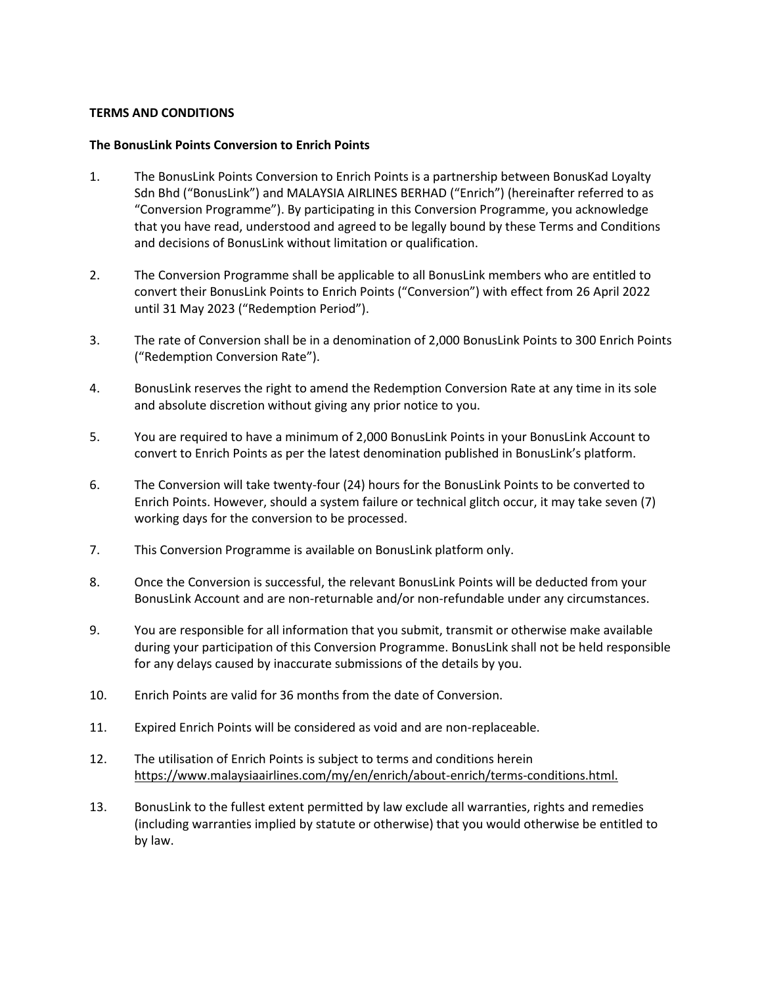## **TERMS AND CONDITIONS**

## **The BonusLink Points Conversion to Enrich Points**

- 1. The BonusLink Points Conversion to Enrich Points is a partnership between BonusKad Loyalty Sdn Bhd ("BonusLink") and MALAYSIA AIRLINES BERHAD ("Enrich") (hereinafter referred to as "Conversion Programme"). By participating in this Conversion Programme, you acknowledge that you have read, understood and agreed to be legally bound by these Terms and Conditions and decisions of BonusLink without limitation or qualification.
- 2. The Conversion Programme shall be applicable to all BonusLink members who are entitled to convert their BonusLink Points to Enrich Points ("Conversion") with effect from 26 April 2022 until 31 May 2023 ("Redemption Period").
- 3. The rate of Conversion shall be in a denomination of 2,000 BonusLink Points to 300 Enrich Points ("Redemption Conversion Rate").
- 4. BonusLink reserves the right to amend the Redemption Conversion Rate at any time in its sole and absolute discretion without giving any prior notice to you.
- 5. You are required to have a minimum of 2,000 BonusLink Points in your BonusLink Account to convert to Enrich Points as per the latest denomination published in BonusLink's platform.
- 6. The Conversion will take twenty-four (24) hours for the BonusLink Points to be converted to Enrich Points. However, should a system failure or technical glitch occur, it may take seven (7) working days for the conversion to be processed.
- 7. This Conversion Programme is available on BonusLink platform only.
- 8. Once the Conversion is successful, the relevant BonusLink Points will be deducted from your BonusLink Account and are non-returnable and/or non-refundable under any circumstances.
- 9. You are responsible for all information that you submit, transmit or otherwise make available during your participation of this Conversion Programme. BonusLink shall not be held responsible for any delays caused by inaccurate submissions of the details by you.
- 10. Enrich Points are valid for 36 months from the date of Conversion.
- 11. Expired Enrich Points will be considered as void and are non-replaceable.
- 12. The utilisation of Enrich Points is subject to terms and conditions herein [https://www.malaysiaairlines.com/my/en/enrich/about-enrich/terms-conditions.html.](https://www.malaysiaairlines.com/my/en/enrich/about-enrich/terms-conditions.html)
- 13. BonusLink to the fullest extent permitted by law exclude all warranties, rights and remedies (including warranties implied by statute or otherwise) that you would otherwise be entitled to by law.